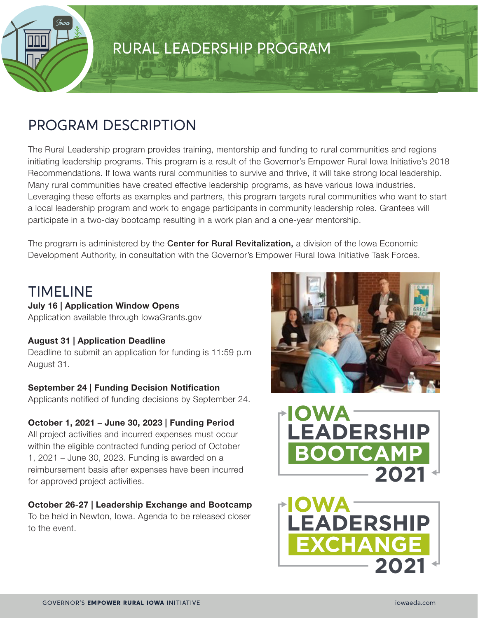

### PROGRAM DESCRIPTION

The Rural Leadership program provides training, mentorship and funding to rural communities and regions initiating leadership programs. This program is a result of the Governor's Empower Rural Iowa Initiative's 2018 Recommendations. If Iowa wants rural communities to survive and thrive, it will take strong local leadership. Many rural communities have created effective leadership programs, as have various Iowa industries. Leveraging these efforts as examples and partners, this program targets rural communities who want to start a local leadership program and work to engage participants in community leadership roles. Grantees will participate in a two-day bootcamp resulting in a work plan and a one-year mentorship.

The program is administered by the **Center for Rural Revitalization**, a division of the Iowa Economic Development Authority, in consultation with the Governor's Empower Rural Iowa Initiative Task Forces.

### TIMELINE

#### **July 16 | Application Window Opens**

Application available through [IowaGrants.gov](http://IowaGrants.gov)

#### **August 31 | Application Deadline**

Deadline to submit an application for funding is 11:59 p.m August 31.

#### **September 24 | Funding Decision Notification**

Applicants notified of funding decisions by September 24.

#### **October 1, 2021 – June 30, 2023 | Funding Period**

All project activities and incurred expenses must occur within the eligible contracted funding period of October 1, 2021 – June 30, 2023. Funding is awarded on a reimbursement basis after expenses have been incurred for approved project activities.

#### **October 26-27 | Leadership Exchange and Bootcamp**

To be held in Newton, Iowa. Agenda to be released closer to the event.





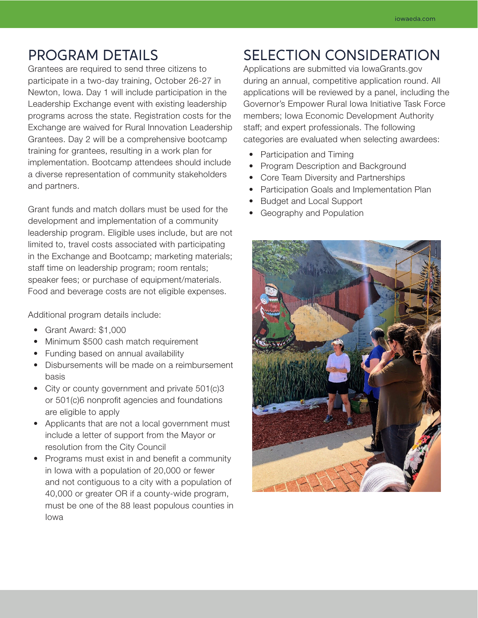### PROGRAM DETAILS

Grantees are required to send three citizens to participate in a two-day training, October 26-27 in Newton, Iowa. Day 1 will include participation in the Leadership Exchange event with existing leadership programs across the state. Registration costs for the Exchange are waived for Rural Innovation Leadership Grantees. Day 2 will be a comprehensive bootcamp training for grantees, resulting in a work plan for implementation. Bootcamp attendees should include a diverse representation of community stakeholders and partners.

Grant funds and match dollars must be used for the development and implementation of a community leadership program. Eligible uses include, but are not limited to, travel costs associated with participating in the Exchange and Bootcamp; marketing materials; staff time on leadership program; room rentals; speaker fees; or purchase of equipment/materials. Food and beverage costs are not eligible expenses.

Additional program details include:

- Grant Award: \$1,000
- Minimum \$500 cash match requirement
- Funding based on annual availability
- Disbursements will be made on a reimbursement basis
- City or county government and private 501(c)3 or 501(c)6 nonprofit agencies and foundations are eligible to apply
- Applicants that are not a local government must include a letter of support from the Mayor or resolution from the City Council
- Programs must exist in and benefit a community in Iowa with a population of 20,000 or fewer and not contiguous to a city with a population of 40,000 or greater OR if a county-wide program, must be one of the 88 least populous counties in Iowa

## SELECTION CONSIDERATION

Applications are submitted via IowaGrants.gov during an annual, competitive application round. All applications will be reviewed by a panel, including the Governor's Empower Rural Iowa Initiative Task Force members; Iowa Economic Development Authority staff; and expert professionals. The following categories are evaluated when selecting awardees:

- Participation and Timing
- Program Description and Background
- Core Team Diversity and Partnerships
- Participation Goals and Implementation Plan
- Budget and Local Support
- Geography and Population